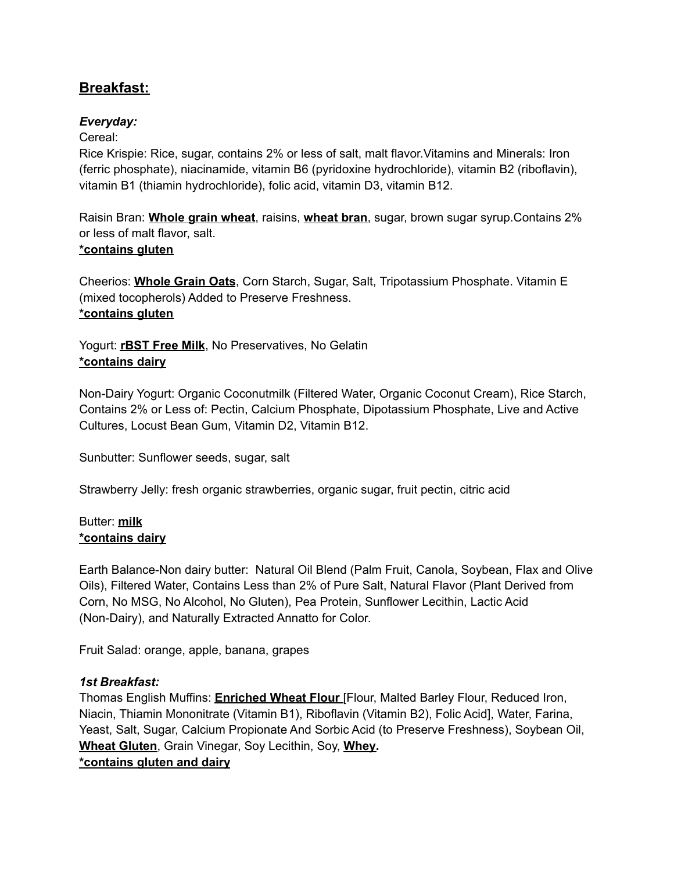## **Breakfast:**

## *Everyday:*

Cereal:

Rice Krispie: Rice, sugar, contains 2% or less of salt, malt flavor.Vitamins and Minerals: Iron (ferric phosphate), niacinamide, vitamin B6 (pyridoxine hydrochloride), vitamin B2 (riboflavin), vitamin B1 (thiamin hydrochloride), folic acid, vitamin D3, vitamin B12.

Raisin Bran: **Whole grain wheat**, raisins, **wheat bran**, sugar, brown sugar syrup.Contains 2% or less of malt flavor, salt. **\*contains gluten**

Cheerios: **Whole Grain Oats**, Corn Starch, Sugar, Salt, Tripotassium Phosphate. Vitamin E (mixed tocopherols) Added to Preserve Freshness. **\*contains gluten**

Yogurt: **rBST Free Milk**, No Preservatives, No Gelatin **\*contains dairy**

Non-Dairy Yogurt: Organic Coconutmilk (Filtered Water, Organic Coconut Cream), Rice Starch, Contains 2% or Less of: Pectin, Calcium Phosphate, Dipotassium Phosphate, Live and Active Cultures, Locust Bean Gum, Vitamin D2, Vitamin B12.

Sunbutter: Sunflower seeds, sugar, salt

Strawberry Jelly: fresh organic strawberries, organic sugar, fruit pectin, citric acid

### Butter: **milk \*contains dairy**

Earth Balance-Non dairy butter: Natural Oil Blend (Palm Fruit, Canola, Soybean, Flax and Olive Oils), Filtered Water, Contains Less than 2% of Pure Salt, Natural Flavor (Plant Derived from Corn, No MSG, No Alcohol, No Gluten), Pea Protein, Sunflower Lecithin, Lactic Acid (Non-Dairy), and Naturally Extracted Annatto for Color.

Fruit Salad: orange, apple, banana, grapes

## *1st Breakfast:*

Thomas English Muffins: **Enriched Wheat Flour** [Flour, Malted Barley Flour, Reduced Iron, Niacin, Thiamin Mononitrate (Vitamin B1), Riboflavin (Vitamin B2), Folic Acid], Water, Farina, Yeast, Salt, Sugar, Calcium Propionate And Sorbic Acid (to Preserve Freshness), Soybean Oil, **Wheat Gluten**, Grain Vinegar, Soy Lecithin, Soy, **Whey.**

**\*contains gluten and dairy**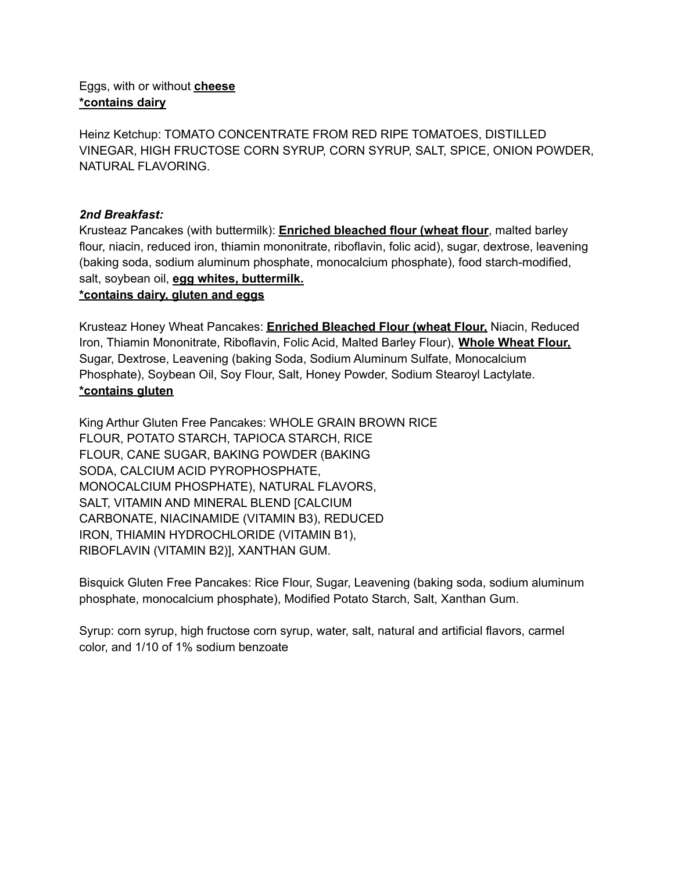#### Eggs, with or without **cheese \*contains dairy**

Heinz Ketchup: TOMATO CONCENTRATE FROM RED RIPE TOMATOES, DISTILLED VINEGAR, HIGH FRUCTOSE CORN SYRUP, CORN SYRUP, SALT, SPICE, ONION POWDER, NATURAL FLAVORING.

## *2nd Breakfast:*

Krusteaz Pancakes (with buttermilk): **Enriched bleached flour (wheat flour**, malted barley flour, niacin, reduced iron, thiamin mononitrate, riboflavin, folic acid), sugar, dextrose, leavening (baking soda, sodium aluminum phosphate, monocalcium phosphate), food starch-modified, salt, soybean oil, **egg whites, buttermilk. \*contains dairy, gluten and eggs**

Krusteaz Honey Wheat Pancakes: **Enriched Bleached Flour (wheat Flour,** Niacin, Reduced Iron, Thiamin Mononitrate, Riboflavin, Folic Acid, Malted Barley Flour), **Whole Wheat Flour,** Sugar, Dextrose, Leavening (baking Soda, Sodium Aluminum Sulfate, Monocalcium Phosphate), Soybean Oil, Soy Flour, Salt, Honey Powder, Sodium Stearoyl Lactylate. **\*contains gluten**

King Arthur Gluten Free Pancakes: WHOLE GRAIN BROWN RICE FLOUR, POTATO STARCH, TAPIOCA STARCH, RICE FLOUR, CANE SUGAR, BAKING POWDER (BAKING SODA, CALCIUM ACID PYROPHOSPHATE, MONOCALCIUM PHOSPHATE), NATURAL FLAVORS, SALT, VITAMIN AND MINERAL BLEND [CALCIUM CARBONATE, NIACINAMIDE (VITAMIN B3), REDUCED IRON, THIAMIN HYDROCHLORIDE (VITAMIN B1), RIBOFLAVIN (VITAMIN B2)], XANTHAN GUM.

Bisquick Gluten Free Pancakes: Rice Flour, Sugar, Leavening (baking soda, sodium aluminum phosphate, monocalcium phosphate), Modified Potato Starch, Salt, Xanthan Gum.

Syrup: corn syrup, high fructose corn syrup, water, salt, natural and artificial flavors, carmel color, and 1/10 of 1% sodium benzoate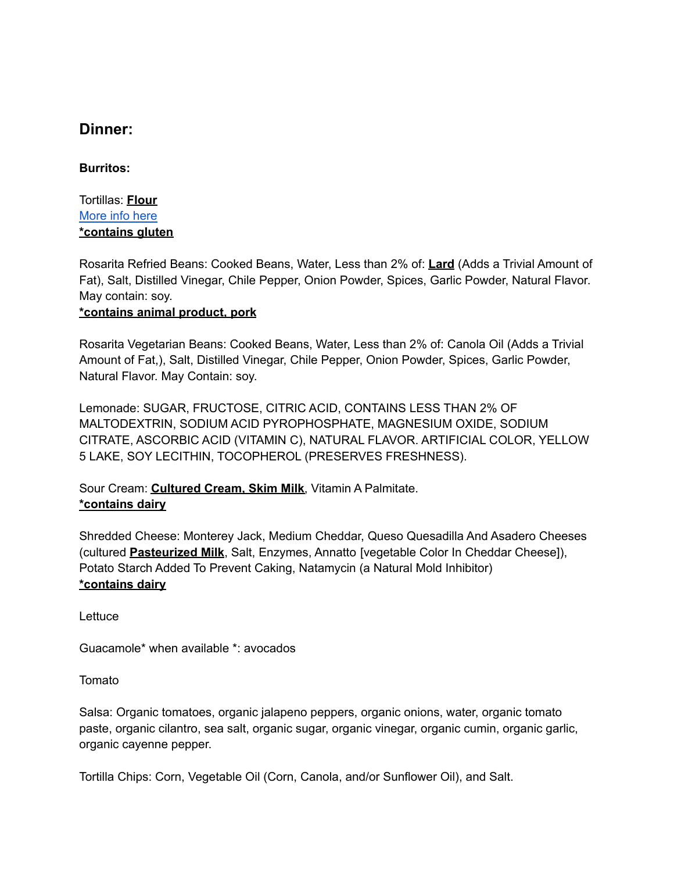# **Dinner:**

## **Burritos:**

Tortillas: **Flour** [More](https://shop.mirancho.com/products/mamas-burrito-flour-tortillas-4-packs) info here **\*contains gluten**

Rosarita Refried Beans: Cooked Beans, Water, Less than 2% of: **Lard** (Adds a Trivial Amount of Fat), Salt, Distilled Vinegar, Chile Pepper, Onion Powder, Spices, Garlic Powder, Natural Flavor. May contain: soy.

#### **\*contains animal product, pork**

Rosarita Vegetarian Beans: Cooked Beans, Water, Less than 2% of: Canola Oil (Adds a Trivial Amount of Fat,), Salt, Distilled Vinegar, Chile Pepper, Onion Powder, Spices, Garlic Powder, Natural Flavor. May Contain: soy.

Lemonade: SUGAR, FRUCTOSE, CITRIC ACID, CONTAINS LESS THAN 2% OF MALTODEXTRIN, SODIUM ACID PYROPHOSPHATE, MAGNESIUM OXIDE, SODIUM CITRATE, ASCORBIC ACID (VITAMIN C), NATURAL FLAVOR. ARTIFICIAL COLOR, YELLOW 5 LAKE, SOY LECITHIN, TOCOPHEROL (PRESERVES FRESHNESS).

Sour Cream: **Cultured Cream, Skim Milk**, Vitamin A Palmitate. **\*contains dairy**

Shredded Cheese: Monterey Jack, Medium Cheddar, Queso Quesadilla And Asadero Cheeses (cultured **Pasteurized Milk**, Salt, Enzymes, Annatto [vegetable Color In Cheddar Cheese]), Potato Starch Added To Prevent Caking, Natamycin (a Natural Mold Inhibitor) **\*contains dairy**

**Lettuce** 

Guacamole\* when available \*: avocados

Tomato

Salsa: Organic tomatoes, organic jalapeno peppers, organic onions, water, organic tomato paste, organic cilantro, sea salt, organic sugar, organic vinegar, organic cumin, organic garlic, organic cayenne pepper.

Tortilla Chips: Corn, Vegetable Oil (Corn, Canola, and/or Sunflower Oil), and Salt.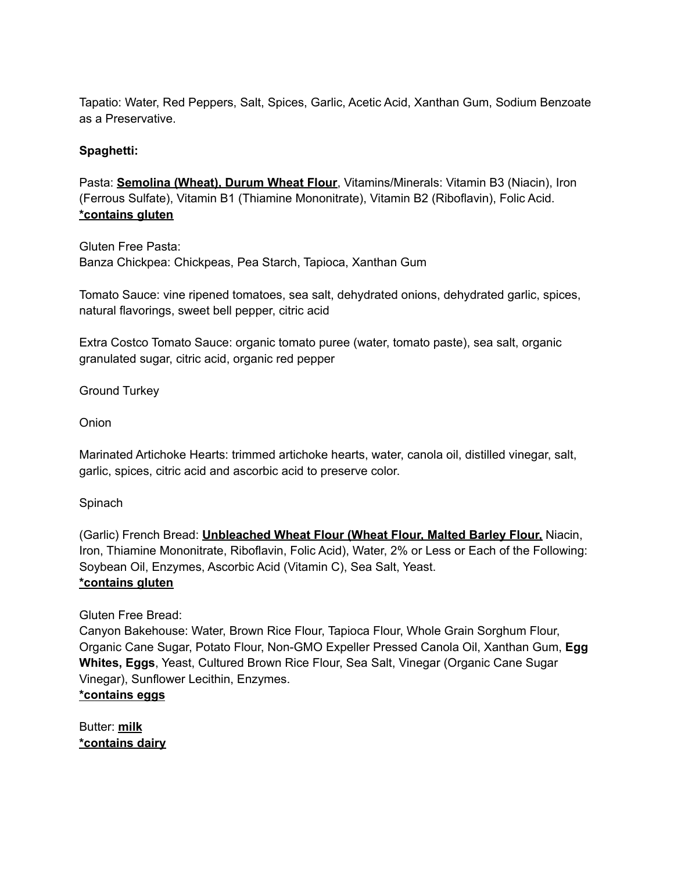Tapatio: Water, Red Peppers, Salt, Spices, Garlic, Acetic Acid, Xanthan Gum, Sodium Benzoate as a Preservative.

## **Spaghetti:**

Pasta: **Semolina (Wheat), Durum Wheat Flour**, Vitamins/Minerals: Vitamin B3 (Niacin), Iron (Ferrous Sulfate), Vitamin B1 (Thiamine Mononitrate), Vitamin B2 (Riboflavin), Folic Acid. **\*contains gluten**

Gluten Free Pasta: Banza Chickpea: Chickpeas, Pea Starch, Tapioca, Xanthan Gum

Tomato Sauce: vine ripened tomatoes, sea salt, dehydrated onions, dehydrated garlic, spices, natural flavorings, sweet bell pepper, citric acid

Extra Costco Tomato Sauce: organic tomato puree (water, tomato paste), sea salt, organic granulated sugar, citric acid, organic red pepper

Ground Turkey

Onion

Marinated Artichoke Hearts: trimmed artichoke hearts, water, canola oil, distilled vinegar, salt, garlic, spices, citric acid and ascorbic acid to preserve color.

Spinach

(Garlic) French Bread: **Unbleached Wheat Flour (Wheat Flour, Malted Barley Flour,** Niacin, Iron, Thiamine Mononitrate, Riboflavin, Folic Acid), Water, 2% or Less or Each of the Following: Soybean Oil, Enzymes, Ascorbic Acid (Vitamin C), Sea Salt, Yeast. **\*contains gluten**

Gluten Free Bread:

Canyon Bakehouse: Water, Brown Rice Flour, Tapioca Flour, Whole Grain Sorghum Flour, Organic Cane Sugar, Potato Flour, Non-GMO Expeller Pressed Canola Oil, Xanthan Gum, **Egg Whites, Eggs**, Yeast, Cultured Brown Rice Flour, Sea Salt, Vinegar (Organic Cane Sugar Vinegar), Sunflower Lecithin, Enzymes.

#### **\*contains eggs**

Butter: **milk \*contains dairy**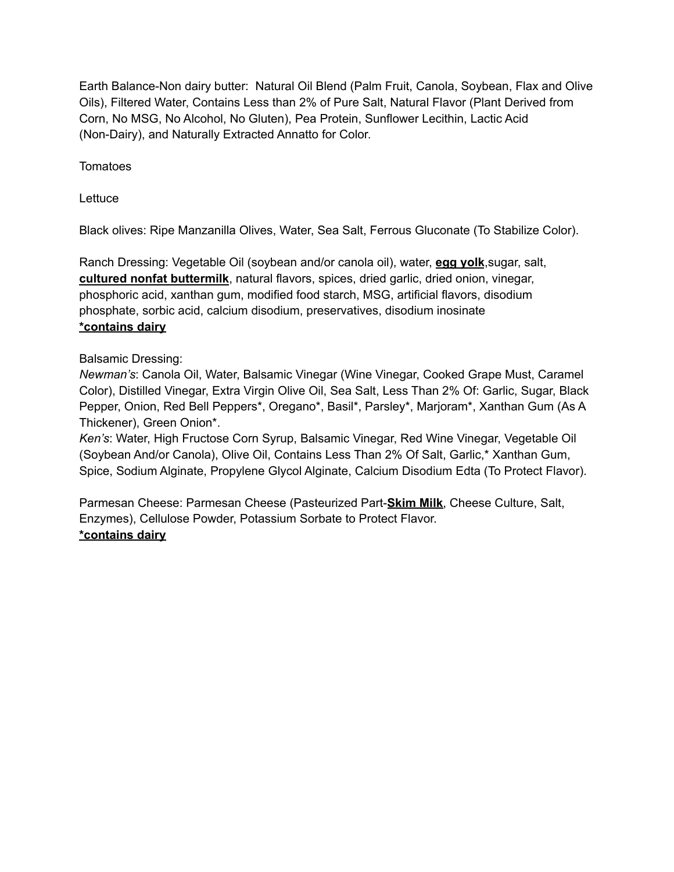Earth Balance-Non dairy butter: Natural Oil Blend (Palm Fruit, Canola, Soybean, Flax and Olive Oils), Filtered Water, Contains Less than 2% of Pure Salt, Natural Flavor (Plant Derived from Corn, No MSG, No Alcohol, No Gluten), Pea Protein, Sunflower Lecithin, Lactic Acid (Non-Dairy), and Naturally Extracted Annatto for Color.

Tomatoes

**Lettuce** 

Black olives: Ripe Manzanilla Olives, Water, Sea Salt, Ferrous Gluconate (To Stabilize Color).

Ranch Dressing: Vegetable Oil (soybean and/or canola oil), water, **egg yolk**,sugar, salt, **cultured nonfat buttermilk**, natural flavors, spices, dried garlic, dried onion, vinegar, phosphoric acid, xanthan gum, modified food starch, MSG, artificial flavors, disodium phosphate, sorbic acid, calcium disodium, preservatives, disodium inosinate **\*contains dairy**

## Balsamic Dressing:

*Newman's*: Canola Oil, Water, Balsamic Vinegar (Wine Vinegar, Cooked Grape Must, Caramel Color), Distilled Vinegar, Extra Virgin Olive Oil, Sea Salt, Less Than 2% Of: Garlic, Sugar, Black Pepper, Onion, Red Bell Peppers\*, Oregano\*, Basil\*, Parsley\*, Marjoram\*, Xanthan Gum (As A Thickener), Green Onion\*.

*Ken's*: Water, High Fructose Corn Syrup, Balsamic Vinegar, Red Wine Vinegar, Vegetable Oil (Soybean And/or Canola), Olive Oil, Contains Less Than 2% Of Salt, Garlic,\* Xanthan Gum, Spice, Sodium Alginate, Propylene Glycol Alginate, Calcium Disodium Edta (To Protect Flavor).

Parmesan Cheese: Parmesan Cheese (Pasteurized Part-**Skim Milk**, Cheese Culture, Salt, Enzymes), Cellulose Powder, Potassium Sorbate to Protect Flavor. **\*contains dairy**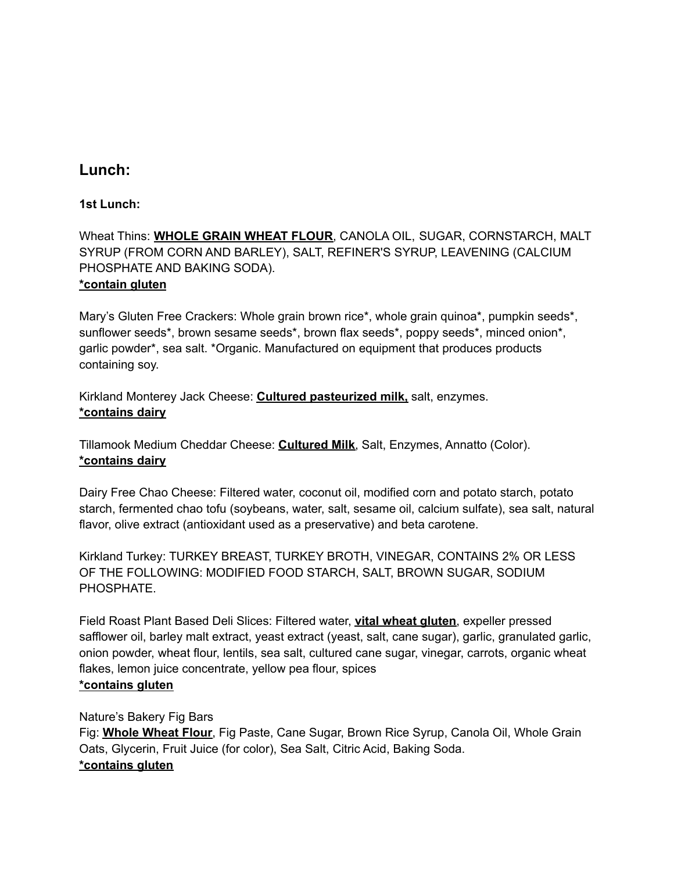# **Lunch:**

## **1st Lunch:**

Wheat Thins: **WHOLE GRAIN WHEAT FLOUR**, CANOLA OIL, SUGAR, CORNSTARCH, MALT SYRUP (FROM CORN AND BARLEY), SALT, REFINER'S SYRUP, LEAVENING (CALCIUM PHOSPHATE AND BAKING SODA). **\*contain gluten**

Mary's Gluten Free Crackers: Whole grain brown rice\*, whole grain quinoa\*, pumpkin seeds\*, sunflower seeds\*, brown sesame seeds\*, brown flax seeds\*, poppy seeds\*, minced onion\*, garlic powder\*, sea salt. \*Organic. Manufactured on equipment that produces products containing soy.

Kirkland Monterey Jack Cheese: **Cultured pasteurized milk,** salt, enzymes. **\*contains dairy**

Tillamook Medium Cheddar Cheese: **Cultured Milk**, Salt, Enzymes, Annatto (Color). **\*contains dairy**

Dairy Free Chao Cheese: Filtered water, coconut oil, modified corn and potato starch, potato starch, fermented chao tofu (soybeans, water, salt, sesame oil, calcium sulfate), sea salt, natural flavor, olive extract (antioxidant used as a preservative) and beta carotene.

Kirkland Turkey: TURKEY BREAST, TURKEY BROTH, VINEGAR, CONTAINS 2% OR LESS OF THE FOLLOWING: MODIFIED FOOD STARCH, SALT, BROWN SUGAR, SODIUM PHOSPHATE.

Field Roast Plant Based Deli Slices: Filtered water, **vital wheat gluten**, expeller pressed safflower oil, barley malt extract, yeast extract (yeast, salt, cane sugar), garlic, granulated garlic, onion powder, wheat flour, lentils, sea salt, cultured cane sugar, vinegar, carrots, organic wheat flakes, lemon juice concentrate, yellow pea flour, spices **\*contains gluten**

#### Nature's Bakery Fig Bars

Fig: **Whole Wheat Flour**, Fig Paste, Cane Sugar, Brown Rice Syrup, Canola Oil, Whole Grain Oats, Glycerin, Fruit Juice (for color), Sea Salt, Citric Acid, Baking Soda. **\*contains gluten**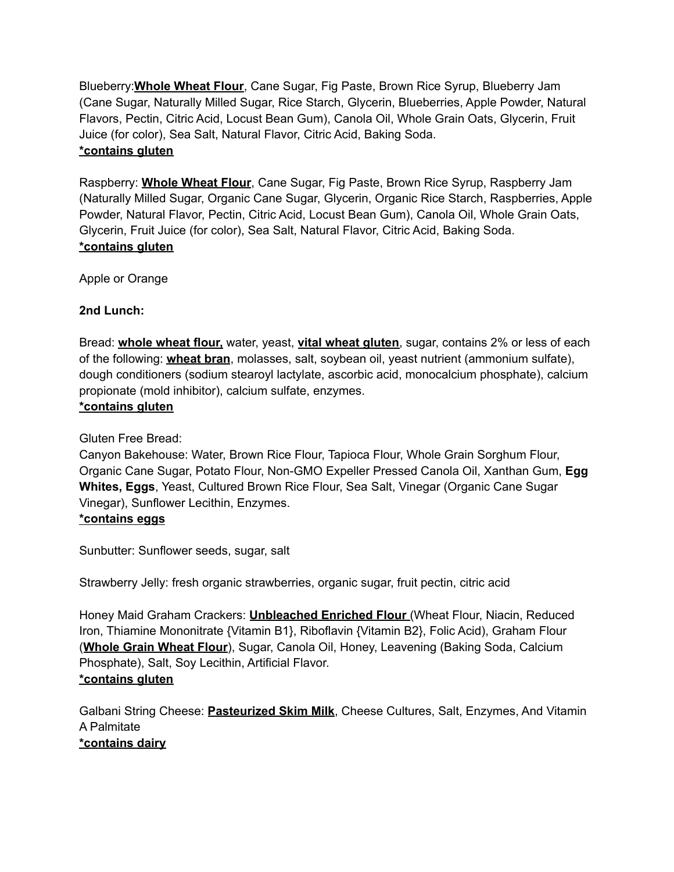Blueberry:**Whole Wheat Flour**, Cane Sugar, Fig Paste, Brown Rice Syrup, Blueberry Jam (Cane Sugar, Naturally Milled Sugar, Rice Starch, Glycerin, Blueberries, Apple Powder, Natural Flavors, Pectin, Citric Acid, Locust Bean Gum), Canola Oil, Whole Grain Oats, Glycerin, Fruit Juice (for color), Sea Salt, Natural Flavor, Citric Acid, Baking Soda. **\*contains gluten**

Raspberry: **Whole Wheat Flour**, Cane Sugar, Fig Paste, Brown Rice Syrup, Raspberry Jam (Naturally Milled Sugar, Organic Cane Sugar, Glycerin, Organic Rice Starch, Raspberries, Apple Powder, Natural Flavor, Pectin, Citric Acid, Locust Bean Gum), Canola Oil, Whole Grain Oats, Glycerin, Fruit Juice (for color), Sea Salt, Natural Flavor, Citric Acid, Baking Soda. **\*contains gluten**

Apple or Orange

## **2nd Lunch:**

Bread: **whole wheat flour,** water, yeast, **vital wheat gluten**, sugar, contains 2% or less of each of the following: **wheat bran**, molasses, salt, soybean oil, yeast nutrient (ammonium sulfate), dough conditioners (sodium stearoyl lactylate, ascorbic acid, monocalcium phosphate), calcium propionate (mold inhibitor), calcium sulfate, enzymes.

## **\*contains gluten**

Gluten Free Bread:

Canyon Bakehouse: Water, Brown Rice Flour, Tapioca Flour, Whole Grain Sorghum Flour, Organic Cane Sugar, Potato Flour, Non-GMO Expeller Pressed Canola Oil, Xanthan Gum, **Egg Whites, Eggs**, Yeast, Cultured Brown Rice Flour, Sea Salt, Vinegar (Organic Cane Sugar Vinegar), Sunflower Lecithin, Enzymes. **\*contains eggs**

Sunbutter: Sunflower seeds, sugar, salt

Strawberry Jelly: fresh organic strawberries, organic sugar, fruit pectin, citric acid

Honey Maid Graham Crackers: **Unbleached Enriched Flour** (Wheat Flour, Niacin, Reduced Iron, Thiamine Mononitrate {Vitamin B1}, Riboflavin {Vitamin B2}, Folic Acid), Graham Flour (**Whole Grain Wheat Flour**), Sugar, Canola Oil, Honey, Leavening (Baking Soda, Calcium Phosphate), Salt, Soy Lecithin, Artificial Flavor. **\*contains gluten**

Galbani String Cheese: **Pasteurized Skim Milk**, Cheese Cultures, Salt, Enzymes, And Vitamin A Palmitate **\*contains dairy**